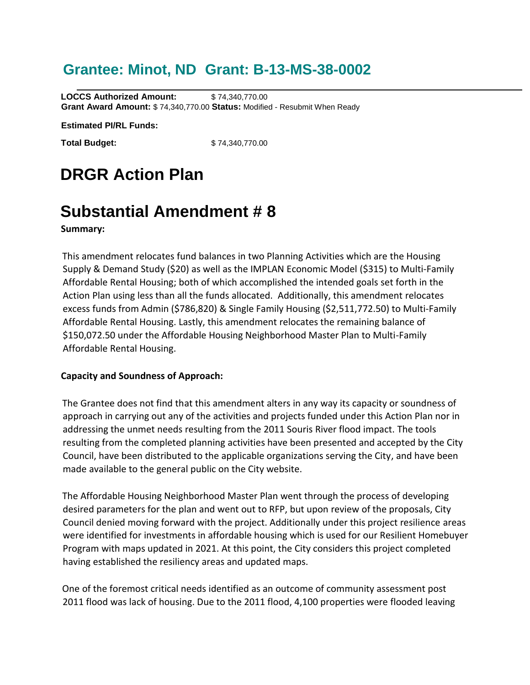### **Grantee: Minot, ND Grant: B-13-MS-38-0002**

**LOCCS Authorized Amount:** \$74,340,770.00 **Grant Award Amount:** \$ 74,340,770.00 **Status:** Modified - Resubmit When Ready

**Estimated PI/RL Funds:**

**Total Budget:** \$74,340,770.00

# **DRGR Action Plan**

## **Substantial Amendment # 8**

**Summary:** 

This amendment relocates fund balances in two Planning Activities which are the Housing Supply & Demand Study (\$20) as well as the IMPLAN Economic Model (\$315) to Multi-Family Affordable Rental Housing; both of which accomplished the intended goals set forth in the Action Plan using less than all the funds allocated. Additionally, this amendment relocates excess funds from Admin (\$786,820) & Single Family Housing (\$2,511,772.50) to Multi-Family Affordable Rental Housing. Lastly, this amendment relocates the remaining balance of \$150,072.50 under the Affordable Housing Neighborhood Master Plan to Multi-Family Affordable Rental Housing.

#### **Capacity and Soundness of Approach:**

The Grantee does not find that this amendment alters in any way its capacity or soundness of approach in carrying out any of the activities and projects funded under this Action Plan nor in addressing the unmet needs resulting from the 2011 Souris River flood impact. The tools resulting from the completed planning activities have been presented and accepted by the City Council, have been distributed to the applicable organizations serving the City, and have been made available to the general public on the City website.

The Affordable Housing Neighborhood Master Plan went through the process of developing desired parameters for the plan and went out to RFP, but upon review of the proposals, City Council denied moving forward with the project. Additionally under this project resilience areas were identified for investments in affordable housing which is used for our Resilient Homebuyer Program with maps updated in 2021. At this point, the City considers this project completed having established the resiliency areas and updated maps.

One of the foremost critical needs identified as an outcome of community assessment post 2011 flood was lack of housing. Due to the 2011 flood, 4,100 properties were flooded leaving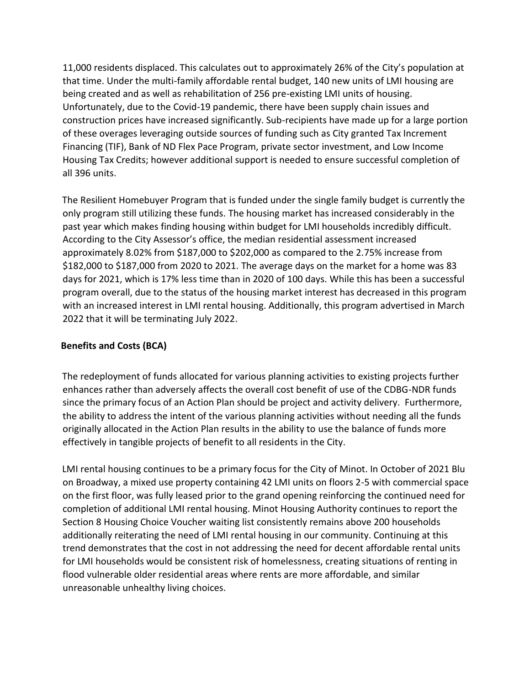11,000 residents displaced. This calculates out to approximately 26% of the City's population at that time. Under the multi-family affordable rental budget, 140 new units of LMI housing are being created and as well as rehabilitation of 256 pre-existing LMI units of housing. Unfortunately, due to the Covid-19 pandemic, there have been supply chain issues and construction prices have increased significantly. Sub-recipients have made up for a large portion of these overages leveraging outside sources of funding such as City granted Tax Increment Financing (TIF), Bank of ND Flex Pace Program, private sector investment, and Low Income Housing Tax Credits; however additional support is needed to ensure successful completion of all 396 units.

The Resilient Homebuyer Program that is funded under the single family budget is currently the only program still utilizing these funds. The housing market has increased considerably in the past year which makes finding housing within budget for LMI households incredibly difficult. According to the City Assessor's office, the median residential assessment increased approximately 8.02% from \$187,000 to \$202,000 as compared to the 2.75% increase from \$182,000 to \$187,000 from 2020 to 2021. The average days on the market for a home was 83 days for 2021, which is 17% less time than in 2020 of 100 days. While this has been a successful program overall, due to the status of the housing market interest has decreased in this program with an increased interest in LMI rental housing. Additionally, this program advertised in March 2022 that it will be terminating July 2022.

#### **Benefits and Costs (BCA)**

The redeployment of funds allocated for various planning activities to existing projects further enhances rather than adversely affects the overall cost benefit of use of the CDBG-NDR funds since the primary focus of an Action Plan should be project and activity delivery. Furthermore, the ability to address the intent of the various planning activities without needing all the funds originally allocated in the Action Plan results in the ability to use the balance of funds more effectively in tangible projects of benefit to all residents in the City.

LMI rental housing continues to be a primary focus for the City of Minot. In October of 2021 Blu on Broadway, a mixed use property containing 42 LMI units on floors 2-5 with commercial space on the first floor, was fully leased prior to the grand opening reinforcing the continued need for completion of additional LMI rental housing. Minot Housing Authority continues to report the Section 8 Housing Choice Voucher waiting list consistently remains above 200 households additionally reiterating the need of LMI rental housing in our community. Continuing at this trend demonstrates that the cost in not addressing the need for decent affordable rental units for LMI households would be consistent risk of homelessness, creating situations of renting in flood vulnerable older residential areas where rents are more affordable, and similar unreasonable unhealthy living choices.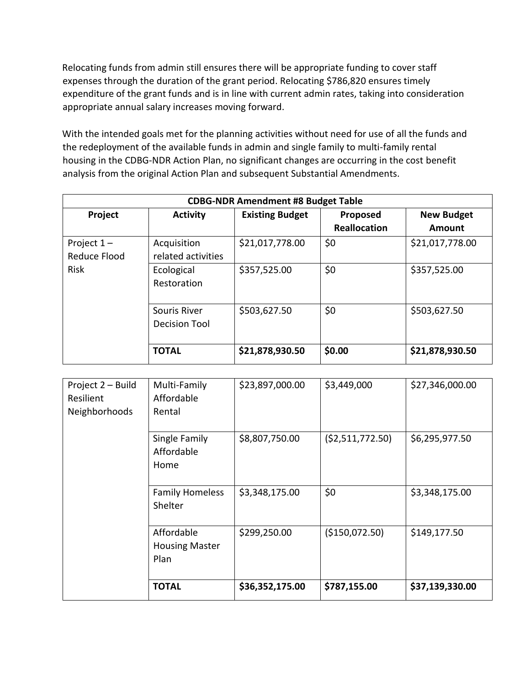Relocating funds from admin still ensures there will be appropriate funding to cover staff expenses through the duration of the grant period. Relocating \$786,820 ensures timely expenditure of the grant funds and is in line with current admin rates, taking into consideration appropriate annual salary increases moving forward.

With the intended goals met for the planning activities without need for use of all the funds and the redeployment of the available funds in admin and single family to multi-family rental housing in the CDBG-NDR Action Plan, no significant changes are occurring in the cost benefit analysis from the original Action Plan and subsequent Substantial Amendments.

| <b>CDBG-NDR Amendment #8 Budget Table</b>           |                                   |                        |                                 |                             |
|-----------------------------------------------------|-----------------------------------|------------------------|---------------------------------|-----------------------------|
| Project                                             | <b>Activity</b>                   | <b>Existing Budget</b> | Proposed<br><b>Reallocation</b> | <b>New Budget</b><br>Amount |
| Project $1 -$<br><b>Reduce Flood</b><br><b>Risk</b> | Acquisition<br>related activities | \$21,017,778.00        | \$0                             | \$21,017,778.00             |
|                                                     | Ecological<br>Restoration         | \$357,525.00           | \$0                             | \$357,525.00                |
|                                                     | Souris River<br>Decision Tool     | \$503,627.50           | \$0                             | \$503,627.50                |
|                                                     | <b>TOTAL</b>                      | \$21,878,930.50        | \$0.00                          | \$21,878,930.50             |

| Project 2 - Build<br>Resilient<br>Neighborhoods | Multi-Family<br>Affordable<br>Rental        | \$23,897,000.00 | \$3,449,000     | \$27,346,000.00 |
|-------------------------------------------------|---------------------------------------------|-----------------|-----------------|-----------------|
|                                                 | Single Family<br>Affordable<br>Home         | \$8,807,750.00  | (52,511,772.50) | \$6,295,977.50  |
|                                                 | <b>Family Homeless</b><br>Shelter           | \$3,348,175.00  | \$0             | \$3,348,175.00  |
|                                                 | Affordable<br><b>Housing Master</b><br>Plan | \$299,250.00    | (\$150,072.50)  | \$149,177.50    |
|                                                 | <b>TOTAL</b>                                | \$36,352,175.00 | \$787,155.00    | \$37,139,330.00 |